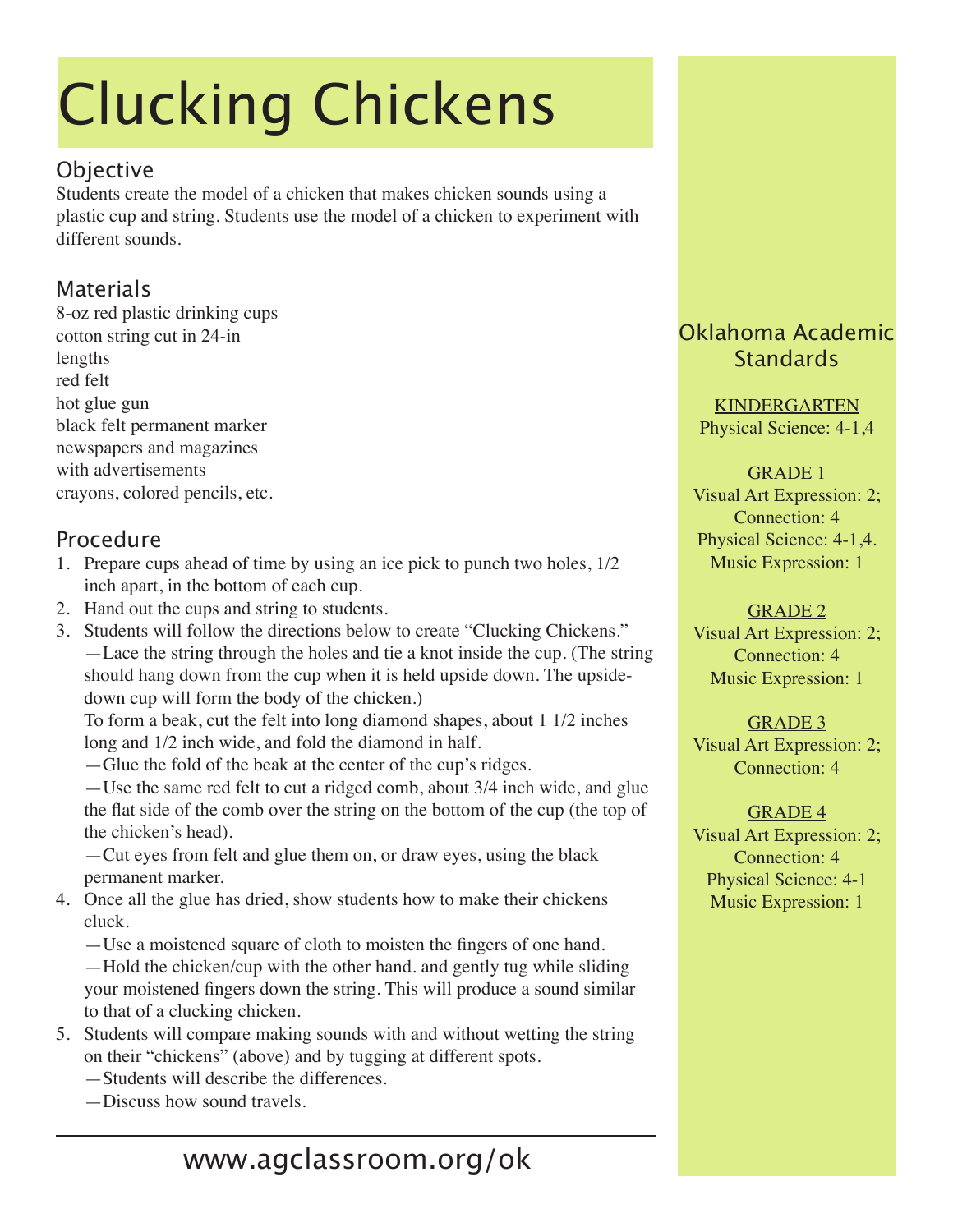# Clucking Chickens

#### **Objective**

Students create the model of a chicken that makes chicken sounds using a plastic cup and string. Students use the model of a chicken to experiment with different sounds.

### Materials

8-oz red plastic drinking cups cotton string cut in 24-in lengths red felt hot glue gun black felt permanent marker newspapers and magazines with advertisements crayons, colored pencils, etc.

#### Procedure

- 1. Prepare cups ahead of time by using an ice pick to punch two holes, 1/2 inch apart, in the bottom of each cup.
- 2. Hand out the cups and string to students.
- 3. Students will follow the directions below to create "Clucking Chickens." —Lace the string through the holes and tie a knot inside the cup. (The string should hang down from the cup when it is held upside down. The upsidedown cup will form the body of the chicken.)

To form a beak, cut the felt into long diamond shapes, about 1 1/2 inches long and 1/2 inch wide, and fold the diamond in half.

—Glue the fold of the beak at the center of the cup's ridges.

—Use the same red felt to cut a ridged comb, about 3/4 inch wide, and glue the flat side of the comb over the string on the bottom of the cup (the top of the chicken's head).

—Cut eyes from felt and glue them on, or draw eyes, using the black permanent marker.

4. Once all the glue has dried, show students how to make their chickens cluck.

—Use a moistened square of cloth to moisten the fingers of one hand. —Hold the chicken/cup with the other hand. and gently tug while sliding your moistened fingers down the string. This will produce a sound similar to that of a clucking chicken.

- 5. Students will compare making sounds with and without wetting the string on their "chickens" (above) and by tugging at different spots.
	- —Students will describe the differences.
	- —Discuss how sound travels.

## Oklahoma Academic **Standards**

KINDERGARTEN Physical Science: 4-1,4

#### GRADE 1

Visual Art Expression: 2; Connection: 4 Physical Science: 4-1,4. Music Expression: 1

#### GRADE 2

Visual Art Expression: 2; Connection: 4 Music Expression: 1

GRADE 3 Visual Art Expression: 2; Connection: 4

GRADE 4 Visual Art Expression: 2; Connection: 4 Physical Science: 4-1 Music Expression: 1

# www.agclassroom.org/ok